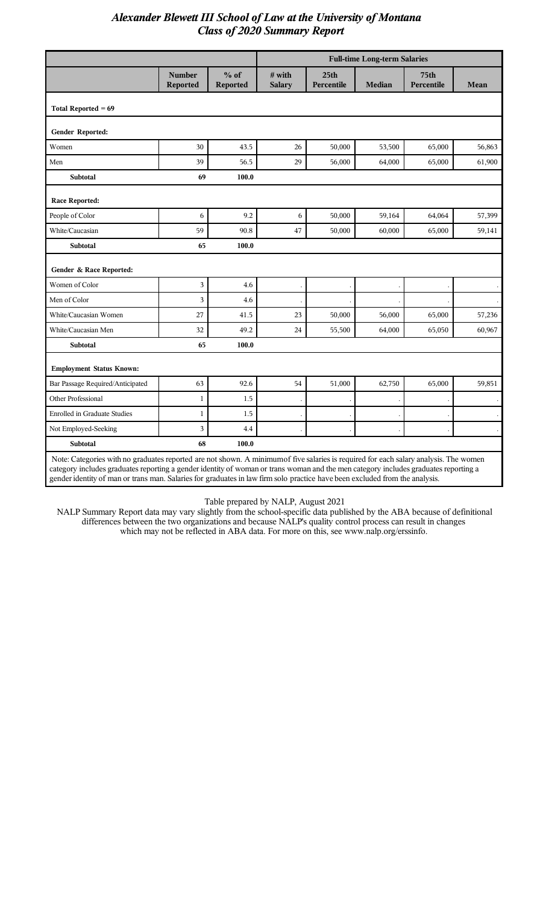|                                                                                                                                                                                                                                                                                                                                                                                                             |                                  |                           | <b>Full-time Long-term Salaries</b> |                                |               |                                |        |
|-------------------------------------------------------------------------------------------------------------------------------------------------------------------------------------------------------------------------------------------------------------------------------------------------------------------------------------------------------------------------------------------------------------|----------------------------------|---------------------------|-------------------------------------|--------------------------------|---------------|--------------------------------|--------|
|                                                                                                                                                                                                                                                                                                                                                                                                             | <b>Number</b><br><b>Reported</b> | $%$ of<br><b>Reported</b> | $#$ with<br><b>Salary</b>           | 25 <sub>th</sub><br>Percentile | <b>Median</b> | 75 <sub>th</sub><br>Percentile | Mean   |
| Total Reported $= 69$                                                                                                                                                                                                                                                                                                                                                                                       |                                  |                           |                                     |                                |               |                                |        |
| Gender Reported:                                                                                                                                                                                                                                                                                                                                                                                            |                                  |                           |                                     |                                |               |                                |        |
| Women                                                                                                                                                                                                                                                                                                                                                                                                       | 30                               | 43.5                      | 26                                  | 50,000                         | 53,500        | 65,000                         | 56,863 |
| Men                                                                                                                                                                                                                                                                                                                                                                                                         | 39                               | 56.5                      | 29                                  | 56,000                         | 64,000        | 65,000                         | 61,900 |
| <b>Subtotal</b>                                                                                                                                                                                                                                                                                                                                                                                             | 69                               | 100.0                     |                                     |                                |               |                                |        |
| <b>Race Reported:</b>                                                                                                                                                                                                                                                                                                                                                                                       |                                  |                           |                                     |                                |               |                                |        |
| People of Color                                                                                                                                                                                                                                                                                                                                                                                             | 6                                | 9.2                       | 6                                   | 50,000                         | 59,164        | 64,064                         | 57,399 |
| White/Caucasian                                                                                                                                                                                                                                                                                                                                                                                             | 59                               | 90.8                      | 47                                  | 50,000                         | 60,000        | 65,000                         | 59,141 |
| <b>Subtotal</b>                                                                                                                                                                                                                                                                                                                                                                                             | 65                               | 100.0                     |                                     |                                |               |                                |        |
| Gender & Race Reported:                                                                                                                                                                                                                                                                                                                                                                                     |                                  |                           |                                     |                                |               |                                |        |
| Women of Color                                                                                                                                                                                                                                                                                                                                                                                              | 3                                | 4.6                       |                                     |                                |               |                                |        |
| Men of Color                                                                                                                                                                                                                                                                                                                                                                                                | $\mathfrak{Z}$                   | 4.6                       |                                     |                                |               |                                |        |
| White/Caucasian Women                                                                                                                                                                                                                                                                                                                                                                                       | 27                               | 41.5                      | 23                                  | 50,000                         | 56,000        | 65,000                         | 57,236 |
| White/Caucasian Men                                                                                                                                                                                                                                                                                                                                                                                         | 32                               | 49.2                      | 24                                  | 55,500                         | 64,000        | 65,050                         | 60,967 |
| <b>Subtotal</b>                                                                                                                                                                                                                                                                                                                                                                                             | 65                               | 100.0                     |                                     |                                |               |                                |        |
| <b>Employment Status Known:</b>                                                                                                                                                                                                                                                                                                                                                                             |                                  |                           |                                     |                                |               |                                |        |
| Bar Passage Required/Anticipated                                                                                                                                                                                                                                                                                                                                                                            | 63                               | 92.6                      | 54                                  | 51,000                         | 62,750        | 65,000                         | 59,851 |
| <b>Other Professional</b>                                                                                                                                                                                                                                                                                                                                                                                   | $\mathbf{1}$                     | 1.5                       |                                     |                                |               |                                |        |
| <b>Enrolled in Graduate Studies</b>                                                                                                                                                                                                                                                                                                                                                                         | $\mathbf{1}$                     | 1.5                       |                                     |                                |               |                                |        |
| Not Employed-Seeking                                                                                                                                                                                                                                                                                                                                                                                        | 3                                | 4.4                       |                                     |                                |               |                                |        |
| <b>Subtotal</b>                                                                                                                                                                                                                                                                                                                                                                                             | 68                               | 100.0                     |                                     |                                |               |                                |        |
| Note: Categories with no graduates reported are not shown. A minimum of five salaries is required for each salary analysis. The women<br>category includes graduates reporting a gender identity of woman or trans woman and the men category includes graduates reporting a<br>gender identity of man or trans man. Salaries for graduates in law firm solo practice have been excluded from the analysis. |                                  |                           |                                     |                                |               |                                |        |

Table prepared by NALP, August 2021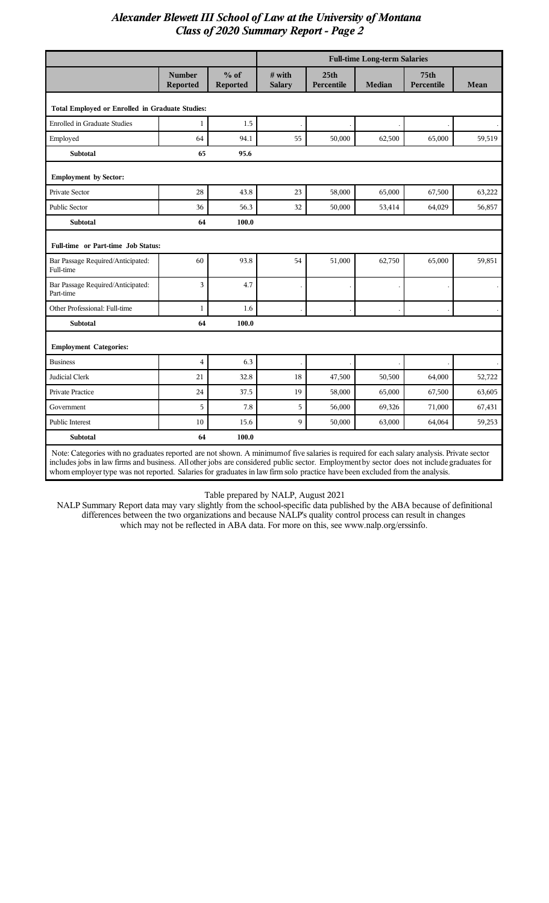|                                                                                                                                                                                                                                                                                                                                                                                                                       |                                  |                           | <b>Full-time Long-term Salaries</b> |                                |               |                                |        |
|-----------------------------------------------------------------------------------------------------------------------------------------------------------------------------------------------------------------------------------------------------------------------------------------------------------------------------------------------------------------------------------------------------------------------|----------------------------------|---------------------------|-------------------------------------|--------------------------------|---------------|--------------------------------|--------|
|                                                                                                                                                                                                                                                                                                                                                                                                                       | <b>Number</b><br><b>Reported</b> | $%$ of<br><b>Reported</b> | # with<br><b>Salary</b>             | 25 <sub>th</sub><br>Percentile | <b>Median</b> | 75 <sub>th</sub><br>Percentile | Mean   |
| Total Employed or Enrolled in Graduate Studies:                                                                                                                                                                                                                                                                                                                                                                       |                                  |                           |                                     |                                |               |                                |        |
| Enrolled in Graduate Studies                                                                                                                                                                                                                                                                                                                                                                                          | 1                                | 1.5                       |                                     |                                |               |                                |        |
| Employed                                                                                                                                                                                                                                                                                                                                                                                                              | 64                               | 94.1                      | 55                                  | 50,000                         | 62,500        | 65,000                         | 59,519 |
| <b>Subtotal</b>                                                                                                                                                                                                                                                                                                                                                                                                       | 65                               | 95.6                      |                                     |                                |               |                                |        |
| <b>Employment by Sector:</b>                                                                                                                                                                                                                                                                                                                                                                                          |                                  |                           |                                     |                                |               |                                |        |
| <b>Private Sector</b>                                                                                                                                                                                                                                                                                                                                                                                                 | 28                               | 43.8                      | 23                                  | 58,000                         | 65,000        | 67,500                         | 63,222 |
| Public Sector                                                                                                                                                                                                                                                                                                                                                                                                         | 36                               | 56.3                      | 32                                  | 50,000                         | 53,414        | 64,029                         | 56,857 |
| <b>Subtotal</b>                                                                                                                                                                                                                                                                                                                                                                                                       | 64                               | 100.0                     |                                     |                                |               |                                |        |
| Full-time or Part-time Job Status:                                                                                                                                                                                                                                                                                                                                                                                    |                                  |                           |                                     |                                |               |                                |        |
| Bar Passage Required/Anticipated:<br>Full-time                                                                                                                                                                                                                                                                                                                                                                        | 60                               | 93.8                      | 54                                  | 51,000                         | 62,750        | 65,000                         | 59,851 |
| Bar Passage Required/Anticipated:<br>Part-time                                                                                                                                                                                                                                                                                                                                                                        | 3                                | 4.7                       |                                     |                                |               |                                |        |
| Other Professional: Full-time                                                                                                                                                                                                                                                                                                                                                                                         | $\mathbf{1}$                     | 1.6                       |                                     |                                |               |                                |        |
| <b>Subtotal</b>                                                                                                                                                                                                                                                                                                                                                                                                       | 64                               | 100.0                     |                                     |                                |               |                                |        |
| <b>Employment Categories:</b>                                                                                                                                                                                                                                                                                                                                                                                         |                                  |                           |                                     |                                |               |                                |        |
| <b>Business</b>                                                                                                                                                                                                                                                                                                                                                                                                       | $\overline{4}$                   | 6.3                       |                                     |                                |               |                                |        |
| Judicial Clerk                                                                                                                                                                                                                                                                                                                                                                                                        | 21                               | 32.8                      | 18                                  | 47,500                         | 50,500        | 64,000                         | 52,722 |
| <b>Private Practice</b>                                                                                                                                                                                                                                                                                                                                                                                               | 24                               | 37.5                      | 19                                  | 58,000                         | 65,000        | 67,500                         | 63,605 |
| Government                                                                                                                                                                                                                                                                                                                                                                                                            | 5                                | 7.8                       | 5                                   | 56,000                         | 69,326        | 71,000                         | 67,431 |
| Public Interest                                                                                                                                                                                                                                                                                                                                                                                                       | 10                               | 15.6                      | 9                                   | 50,000                         | 63,000        | 64,064                         | 59,253 |
| <b>Subtotal</b>                                                                                                                                                                                                                                                                                                                                                                                                       | 64                               | 100.0                     |                                     |                                |               |                                |        |
| Note: Categories with no graduates reported are not shown. A minimumof five salaries is required for each salary analysis. Private sector<br>includes jobs in law firms and business. All other jobs are considered public sector. Employment by sector does not include graduates for<br>whom employer type was not reported. Salaries for graduates in law firm solo practice have been excluded from the analysis. |                                  |                           |                                     |                                |               |                                |        |

Table prepared by NALP, August 2021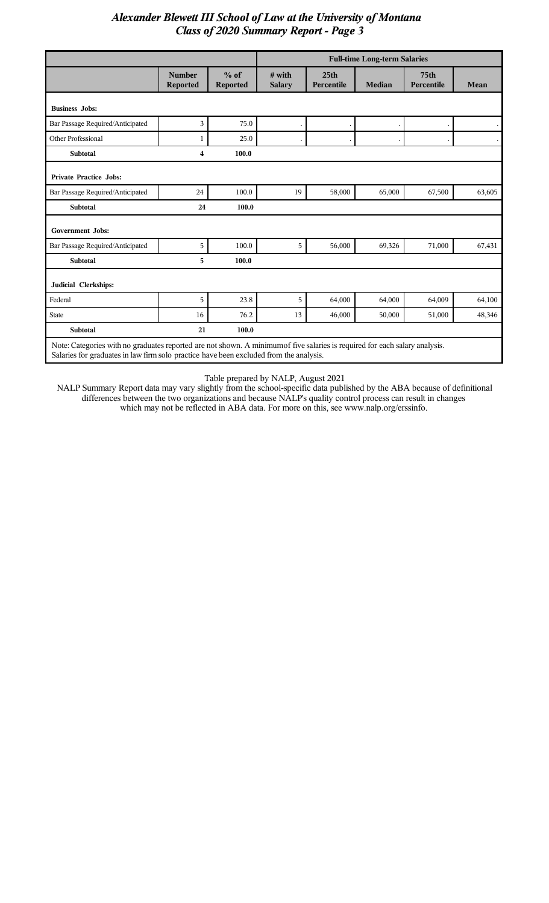|                                                                                                                                                                                                                       |                                  |                    | <b>Full-time Long-term Salaries</b> |                                |               |                                |           |
|-----------------------------------------------------------------------------------------------------------------------------------------------------------------------------------------------------------------------|----------------------------------|--------------------|-------------------------------------|--------------------------------|---------------|--------------------------------|-----------|
|                                                                                                                                                                                                                       | <b>Number</b><br><b>Reported</b> | $%$ of<br>Reported | $#$ with<br><b>Salary</b>           | 25 <sub>th</sub><br>Percentile | <b>Median</b> | 75 <sub>th</sub><br>Percentile | Mean      |
| <b>Business Jobs:</b>                                                                                                                                                                                                 |                                  |                    |                                     |                                |               |                                |           |
| Bar Passage Required/Anticipated                                                                                                                                                                                      | 3                                | 75.0               |                                     |                                |               |                                | $\bullet$ |
| Other Professional                                                                                                                                                                                                    | 1                                | 25.0               |                                     |                                |               |                                | $\bullet$ |
| <b>Subtotal</b>                                                                                                                                                                                                       | $\overline{\mathbf{4}}$          | 100.0              |                                     |                                |               |                                |           |
| <b>Private Practice Jobs:</b>                                                                                                                                                                                         |                                  |                    |                                     |                                |               |                                |           |
| Bar Passage Required/Anticipated                                                                                                                                                                                      | 24                               | 100.0              | 19                                  | 58,000                         | 65,000        | 67,500                         | 63,605    |
| <b>Subtotal</b>                                                                                                                                                                                                       | 24                               | 100.0              |                                     |                                |               |                                |           |
| <b>Government Jobs:</b>                                                                                                                                                                                               |                                  |                    |                                     |                                |               |                                |           |
| Bar Passage Required/Anticipated                                                                                                                                                                                      | 5                                | 100.0              | 5                                   | 56,000                         | 69,326        | 71,000                         | 67,431    |
| <b>Subtotal</b>                                                                                                                                                                                                       | 5                                | 100.0              |                                     |                                |               |                                |           |
| Judicial Clerkships:                                                                                                                                                                                                  |                                  |                    |                                     |                                |               |                                |           |
| Federal                                                                                                                                                                                                               | 5                                | 23.8               | 5                                   | 64,000                         | 64,000        | 64,009                         | 64,100    |
| <b>State</b>                                                                                                                                                                                                          | 16                               | 76.2               | 13                                  | 46,000                         | 50,000        | 51,000                         | 48,346    |
| <b>Subtotal</b>                                                                                                                                                                                                       | 21                               | 100.0              |                                     |                                |               |                                |           |
| Note: Categories with no graduates reported are not shown. A minimum of five salaries is required for each salary analysis.<br>Salaries for graduates in law firm solo practice have been excluded from the analysis. |                                  |                    |                                     |                                |               |                                |           |

Table prepared by NALP, August 2021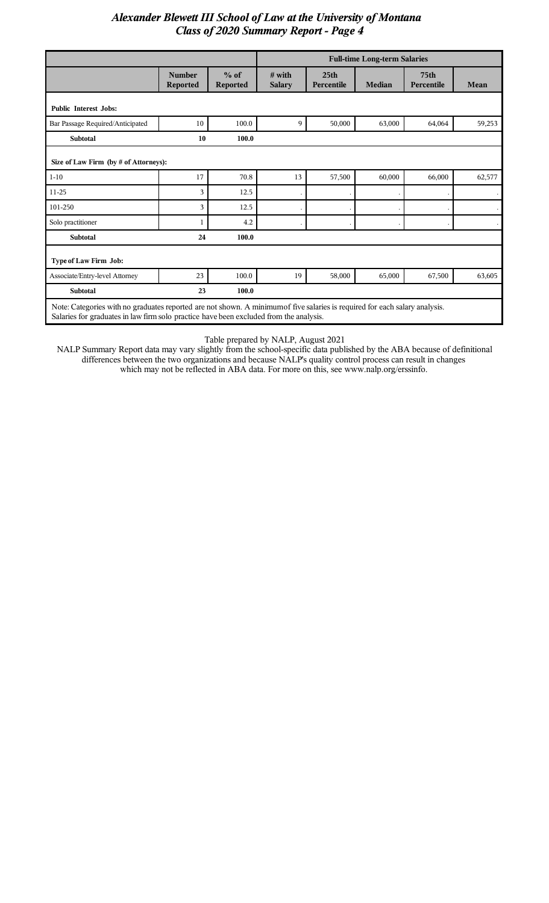|                                                                                                                                                                                                                       |                           |                           | <b>Full-time Long-term Salaries</b> |                                |               |                                |           |
|-----------------------------------------------------------------------------------------------------------------------------------------------------------------------------------------------------------------------|---------------------------|---------------------------|-------------------------------------|--------------------------------|---------------|--------------------------------|-----------|
|                                                                                                                                                                                                                       | <b>Number</b><br>Reported | $%$ of<br><b>Reported</b> | $#$ with<br><b>Salary</b>           | 25 <sub>th</sub><br>Percentile | <b>Median</b> | 75 <sub>th</sub><br>Percentile | Mean      |
| <b>Public Interest Jobs:</b>                                                                                                                                                                                          |                           |                           |                                     |                                |               |                                |           |
| Bar Passage Required/Anticipated                                                                                                                                                                                      | 10                        | 100.0                     | 9                                   | 50,000                         | 63,000        | 64,064                         | 59,253    |
| <b>Subtotal</b>                                                                                                                                                                                                       | 10                        | 100.0                     |                                     |                                |               |                                |           |
| Size of Law Firm (by # of Attorneys):                                                                                                                                                                                 |                           |                           |                                     |                                |               |                                |           |
| $1 - 10$                                                                                                                                                                                                              | 17                        | 70.8                      | 13                                  | 57,500                         | 60,000        | 66,000                         | 62,577    |
| $11-25$                                                                                                                                                                                                               | 3                         | 12.5                      |                                     |                                |               |                                | $\bullet$ |
| 101-250                                                                                                                                                                                                               | 3                         | 12.5                      |                                     |                                |               |                                | $\cdot$   |
| Solo practitioner                                                                                                                                                                                                     | 1                         | 4.2                       |                                     |                                |               |                                | $\bullet$ |
| <b>Subtotal</b>                                                                                                                                                                                                       | 24                        | 100.0                     |                                     |                                |               |                                |           |
| Type of Law Firm Job:                                                                                                                                                                                                 |                           |                           |                                     |                                |               |                                |           |
| Associate/Entry-level Attorney                                                                                                                                                                                        | 23                        | 100.0                     | 19                                  | 58,000                         | 65,000        | 67,500                         | 63,605    |
| <b>Subtotal</b>                                                                                                                                                                                                       | 23                        | 100.0                     |                                     |                                |               |                                |           |
| Note: Categories with no graduates reported are not shown. A minimum of five salaries is required for each salary analysis.<br>Salaries for graduates in law firm solo practice have been excluded from the analysis. |                           |                           |                                     |                                |               |                                |           |

Table prepared by NALP, August 2021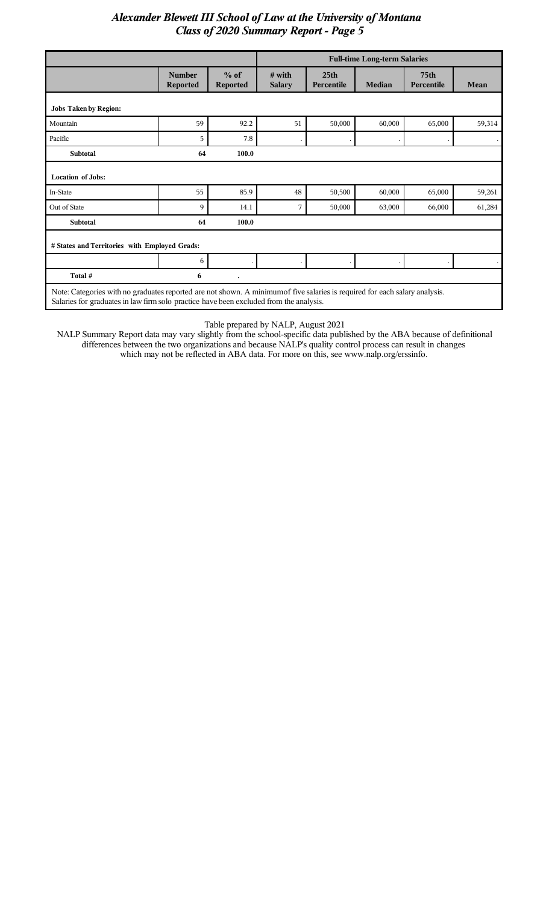|                                                                                                                                                                                                                       |                                  |                           | <b>Full-time Long-term Salaries</b> |                                |               |                                |             |
|-----------------------------------------------------------------------------------------------------------------------------------------------------------------------------------------------------------------------|----------------------------------|---------------------------|-------------------------------------|--------------------------------|---------------|--------------------------------|-------------|
|                                                                                                                                                                                                                       | <b>Number</b><br><b>Reported</b> | $%$ of<br><b>Reported</b> | $#$ with<br><b>Salary</b>           | 25 <sub>th</sub><br>Percentile | <b>Median</b> | 75 <sub>th</sub><br>Percentile | <b>Mean</b> |
| <b>Jobs Taken by Region:</b>                                                                                                                                                                                          |                                  |                           |                                     |                                |               |                                |             |
| Mountain                                                                                                                                                                                                              | 59                               | 92.2                      | 51                                  | 50,000                         | 60,000        | 65,000                         | 59,314      |
| Pacific                                                                                                                                                                                                               | 5                                | 7.8                       |                                     |                                |               |                                | $\bullet$   |
| <b>Subtotal</b>                                                                                                                                                                                                       | 64                               | 100.0                     |                                     |                                |               |                                |             |
| <b>Location of Jobs:</b>                                                                                                                                                                                              |                                  |                           |                                     |                                |               |                                |             |
| In-State                                                                                                                                                                                                              | 55                               | 85.9                      | 48                                  | 50,500                         | 60,000        | 65,000                         | 59,261      |
| Out of State                                                                                                                                                                                                          | 9                                | 14.1                      | 7                                   | 50,000                         | 63,000        | 66,000                         | 61,284      |
| <b>Subtotal</b>                                                                                                                                                                                                       | 64                               | 100.0                     |                                     |                                |               |                                |             |
| # States and Territories with Employed Grads:                                                                                                                                                                         |                                  |                           |                                     |                                |               |                                |             |
|                                                                                                                                                                                                                       | 6                                |                           |                                     |                                |               |                                |             |
| Total #                                                                                                                                                                                                               | 6                                |                           |                                     |                                |               |                                |             |
| Note: Categories with no graduates reported are not shown. A minimum of five salaries is required for each salary analysis.<br>Salaries for graduates in law firm solo practice have been excluded from the analysis. |                                  |                           |                                     |                                |               |                                |             |

Table prepared by NALP, August 2021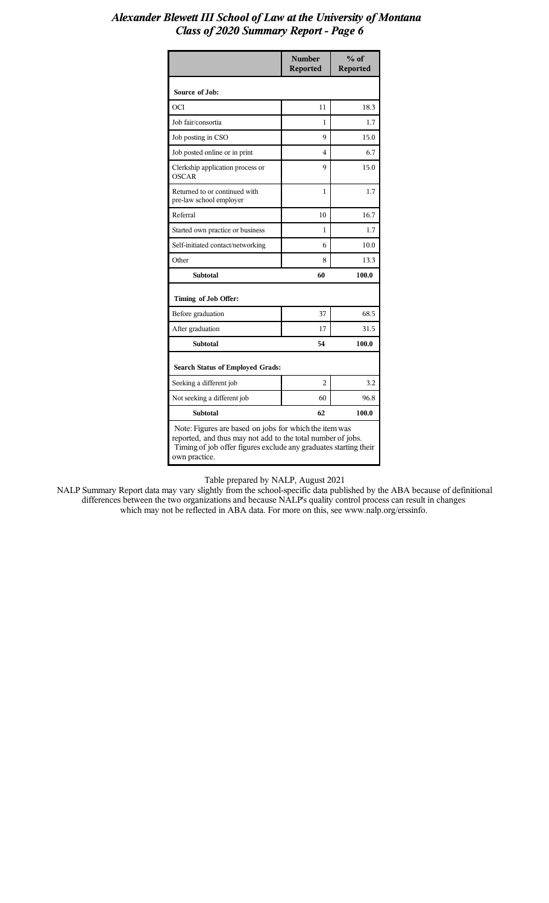|                                                                                                                                                                                                            | <b>Number</b><br><b>Reported</b> | $%$ of<br><b>Reported</b> |  |  |  |
|------------------------------------------------------------------------------------------------------------------------------------------------------------------------------------------------------------|----------------------------------|---------------------------|--|--|--|
| Source of Job:                                                                                                                                                                                             |                                  |                           |  |  |  |
| OCI                                                                                                                                                                                                        | 11                               | 18.3                      |  |  |  |
| Job fair/consortia                                                                                                                                                                                         | 1                                | 1.7                       |  |  |  |
| Job posting in CSO                                                                                                                                                                                         | 9                                | 15.0                      |  |  |  |
| Job posted online or in print                                                                                                                                                                              | 4                                | 6.7                       |  |  |  |
| Clerkship application process or<br><b>OSCAR</b>                                                                                                                                                           | $\mathbf Q$                      | 15.0                      |  |  |  |
| Returned to or continued with<br>pre-law school employer                                                                                                                                                   | 1                                | 1.7                       |  |  |  |
| Referral                                                                                                                                                                                                   | 10                               | 16.7                      |  |  |  |
| Started own practice or business                                                                                                                                                                           | 1                                | 1.7                       |  |  |  |
| Self-initiated contact/networking                                                                                                                                                                          | 6                                | 10.0                      |  |  |  |
| Other                                                                                                                                                                                                      | 8                                | 13.3                      |  |  |  |
| <b>Subtotal</b>                                                                                                                                                                                            | 60                               | 100.0                     |  |  |  |
| Timing of Job Offer:                                                                                                                                                                                       |                                  |                           |  |  |  |
| Before graduation                                                                                                                                                                                          | 37                               | 68.5                      |  |  |  |
| After graduation                                                                                                                                                                                           | 17                               | 31.5                      |  |  |  |
| <b>Subtotal</b>                                                                                                                                                                                            | 54                               | 100.0                     |  |  |  |
| <b>Search Status of Employed Grads:</b>                                                                                                                                                                    |                                  |                           |  |  |  |
| Seeking a different job                                                                                                                                                                                    | $\overline{c}$                   | 3.2                       |  |  |  |
| Not seeking a different job                                                                                                                                                                                | 60                               | 96.8                      |  |  |  |
| <b>Subtotal</b>                                                                                                                                                                                            | 62                               | 100.0                     |  |  |  |
| Note: Figures are based on jobs for which the item was<br>reported, and thus may not add to the total number of jobs.<br>Timing of job offer figures exclude any graduates starting their<br>own practice. |                                  |                           |  |  |  |

Table prepared by NALP, August 2021